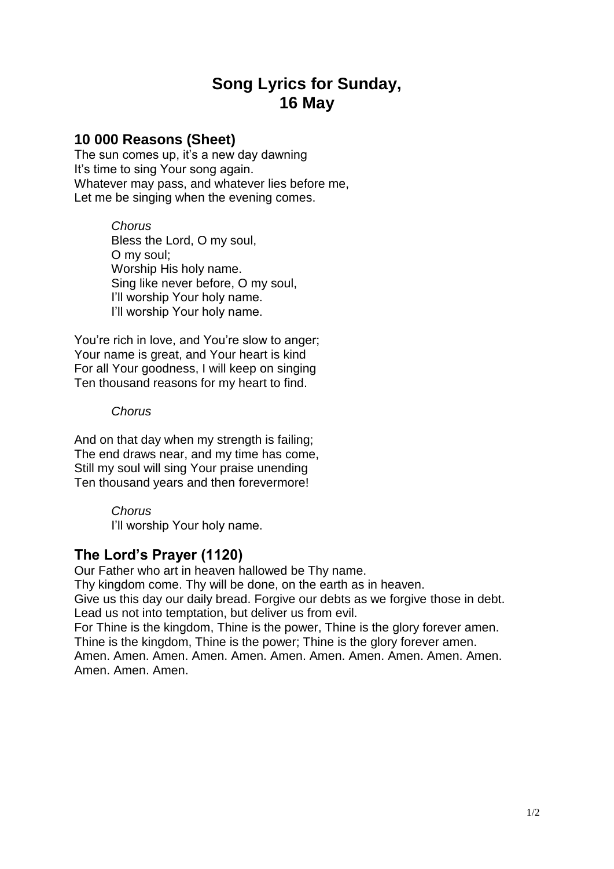# **Song Lyrics for Sunday, 16 May**

## **10 000 Reasons (Sheet)**

The sun comes up, it's a new day dawning It's time to sing Your song again. Whatever may pass, and whatever lies before me, Let me be singing when the evening comes.

> *Chorus* Bless the Lord, O my soul, O my soul; Worship His holy name. Sing like never before, O my soul, I'll worship Your holy name. I'll worship Your holy name.

You're rich in love, and You're slow to anger; Your name is great, and Your heart is kind For all Your goodness, I will keep on singing Ten thousand reasons for my heart to find.

#### *Chorus*

And on that day when my strength is failing; The end draws near, and my time has come, Still my soul will sing Your praise unending Ten thousand years and then forevermore!

*Chorus*

I'll worship Your holy name.

### **The Lord's Prayer (1120)**

Our Father who art in heaven hallowed be Thy name.

Thy kingdom come. Thy will be done, on the earth as in heaven.

Give us this day our daily bread. Forgive our debts as we forgive those in debt. Lead us not into temptation, but deliver us from evil.

For Thine is the kingdom, Thine is the power, Thine is the glory forever amen. Thine is the kingdom, Thine is the power; Thine is the glory forever amen.

Amen. Amen. Amen. Amen. Amen. Amen. Amen. Amen. Amen. Amen. Amen. Amen. Amen. Amen.